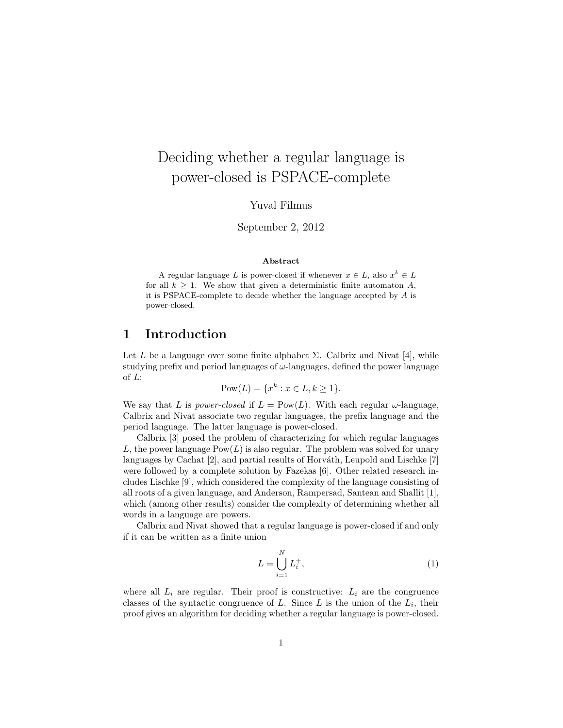# Deciding whether a regular language is power-closed is PSPACE-complete

Yuval Filmus

September 2, 2012

#### Abstract

A regular language L is power-closed if whenever  $x \in L$ , also  $x^k \in L$ for all  $k \geq 1$ . We show that given a deterministic finite automaton A, it is PSPACE-complete to decide whether the language accepted by  $A$  is power-closed.

#### 1 Introduction

Let L be a language over some finite alphabet  $\Sigma$ . Calbrix and Nivat [4], while studying prefix and period languages of  $\omega$ -languages, defined the power language of L:

$$
Pow(L) = \{x^k : x \in L, k \ge 1\}.
$$

We say that L is power-closed if  $L = Pow(L)$ . With each regular  $\omega$ -language, Calbrix and Nivat associate two regular languages, the prefix language and the period language. The latter language is power-closed.

Calbrix [3] posed the problem of characterizing for which regular languages L, the power language  $Pow(L)$  is also regular. The problem was solved for unary languages by Cachat [2], and partial results of Horváth, Leupold and Lischke [7] were followed by a complete solution by Fazekas [6]. Other related research includes Lischke [9], which considered the complexity of the language consisting of all roots of a given language, and Anderson, Rampersad, Santean and Shallit [1], which (among other results) consider the complexity of determining whether all words in a language are powers.

Calbrix and Nivat showed that a regular language is power-closed if and only if it can be written as a finite union

$$
L = \bigcup_{i=1}^{N} L_i^+, \tag{1}
$$

where all  $L_i$  are regular. Their proof is constructive:  $L_i$  are the congruence classes of the syntactic congruence of  $L$ . Since  $L$  is the union of the  $L_i$ , their proof gives an algorithm for deciding whether a regular language is power-closed.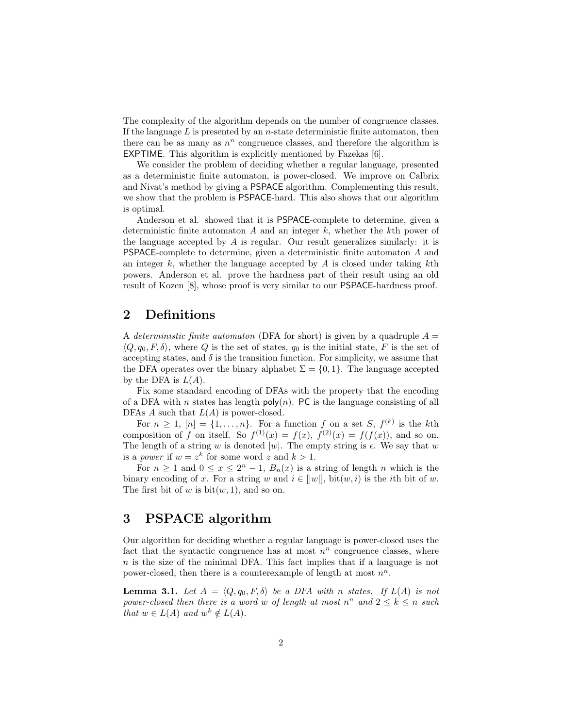The complexity of the algorithm depends on the number of congruence classes. If the language  $L$  is presented by an  $n$ -state deterministic finite automaton, then there can be as many as  $n^n$  congruence classes, and therefore the algorithm is EXPTIME. This algorithm is explicitly mentioned by Fazekas [6].

We consider the problem of deciding whether a regular language, presented as a deterministic finite automaton, is power-closed. We improve on Calbrix and Nivat's method by giving a PSPACE algorithm. Complementing this result, we show that the problem is PSPACE-hard. This also shows that our algorithm is optimal.

Anderson et al. showed that it is PSPACE-complete to determine, given a deterministic finite automaton  $A$  and an integer  $k$ , whether the kth power of the language accepted by A is regular. Our result generalizes similarly: it is PSPACE-complete to determine, given a deterministic finite automaton A and an integer k, whether the language accepted by  $A$  is closed under taking  $k$ th powers. Anderson et al. prove the hardness part of their result using an old result of Kozen [8], whose proof is very similar to our PSPACE-hardness proof.

## 2 Definitions

A deterministic finite automaton (DFA for short) is given by a quadruple  $A =$  $\langle Q, q_0, F, \delta \rangle$ , where Q is the set of states,  $q_0$  is the initial state, F is the set of accepting states, and  $\delta$  is the transition function. For simplicity, we assume that the DFA operates over the binary alphabet  $\Sigma = \{0, 1\}$ . The language accepted by the DFA is  $L(A)$ .

Fix some standard encoding of DFAs with the property that the encoding of a DFA with n states has length  $poly(n)$ . PC is the language consisting of all DFAs A such that  $L(A)$  is power-closed.

For  $n \geq 1$ ,  $[n] = \{1, \ldots, n\}$ . For a function f on a set S,  $f^{(k)}$  is the kth composition of f on itself. So  $f^{(1)}(x) = f(x)$ ,  $f^{(2)}(x) = f(f(x))$ , and so on. The length of a string w is denoted |w|. The empty string is  $\epsilon$ . We say that w is a *power* if  $w = z^k$  for some word z and  $k > 1$ .

For  $n \geq 1$  and  $0 \leq x \leq 2^{n} - 1$ ,  $B_n(x)$  is a string of length n which is the binary encoding of x. For a string w and  $i \in ||w||$ , bit $(w, i)$  is the *i*th bit of w. The first bit of w is  $bit(w, 1)$ , and so on.

#### 3 PSPACE algorithm

Our algorithm for deciding whether a regular language is power-closed uses the fact that the syntactic congruence has at most  $n^n$  congruence classes, where  $n$  is the size of the minimal DFA. This fact implies that if a language is not power-closed, then there is a counterexample of length at most  $n^n$ .

**Lemma 3.1.** Let  $A = \langle Q, q_0, F, \delta \rangle$  be a DFA with n states. If  $L(A)$  is not power-closed then there is a word w of length at most  $n^n$  and  $2 \leq k \leq n$  such that  $w \in L(A)$  and  $w^k \notin L(A)$ .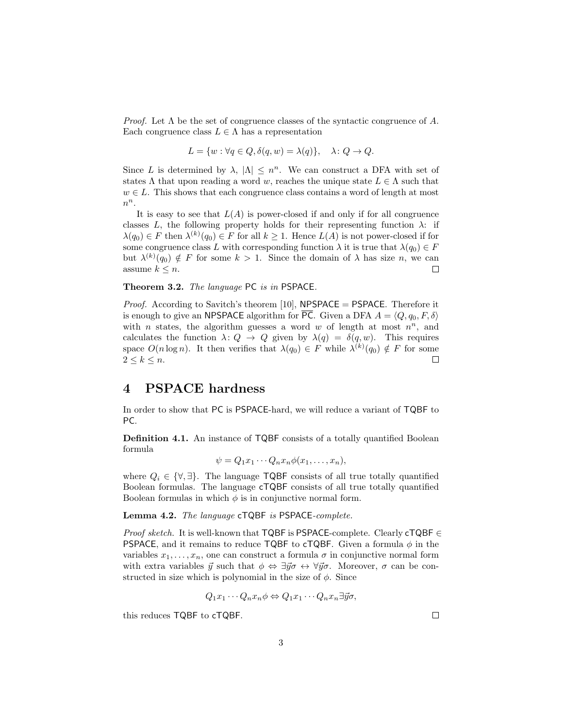*Proof.* Let  $\Lambda$  be the set of congruence classes of the syntactic congruence of A. Each congruence class  $L \in \Lambda$  has a representation

$$
L = \{ w : \forall q \in Q, \delta(q, w) = \lambda(q) \}, \quad \lambda \colon Q \to Q.
$$

Since L is determined by  $\lambda$ ,  $|\Lambda| \leq n^n$ . We can construct a DFA with set of states  $\Lambda$  that upon reading a word w, reaches the unique state  $L \in \Lambda$  such that  $w \in L$ . This shows that each congruence class contains a word of length at most  $n^n$ .

It is easy to see that  $L(A)$  is power-closed if and only if for all congruence classes L, the following property holds for their representing function  $\lambda$ : if  $\lambda(q_0) \in F$  then  $\lambda^{(k)}(q_0) \in F$  for all  $k \geq 1$ . Hence  $L(A)$  is not power-closed if for some congruence class L with corresponding function  $\lambda$  it is true that  $\lambda(q_0) \in F$ but  $\lambda^{(k)}(q_0) \notin F$  for some  $k > 1$ . Since the domain of  $\lambda$  has size n, we can assume  $k \leq n$ .  $\Box$ 

Theorem 3.2. The language PC is in PSPACE.

*Proof.* According to Savitch's theorem [10], **NPSPACE** = **PSPACE**. Therefore it is enough to give an NPSPACE algorithm for  $\overline{PC}$ . Given a DFA  $A = \langle Q, q_0, F, \delta \rangle$ with *n* states, the algorithm guesses a word  $w$  of length at most  $n^n$ , and calculates the function  $\lambda: Q \to Q$  given by  $\lambda(q) = \delta(q, w)$ . This requires space  $O(n \log n)$ . It then verifies that  $\lambda(q_0) \in F$  while  $\lambda^{(k)}(q_0) \notin F$  for some  $2 \leq k \leq n$ .  $\Box$ 

### 4 PSPACE hardness

In order to show that PC is PSPACE-hard, we will reduce a variant of TQBF to PC.

Definition 4.1. An instance of TQBF consists of a totally quantified Boolean formula

$$
\psi = Q_1 x_1 \cdots Q_n x_n \phi(x_1, \ldots, x_n),
$$

where  $Q_i \in {\forall, \exists}$ . The language TQBF consists of all true totally quantified Boolean formulas. The language cTQBF consists of all true totally quantified Boolean formulas in which  $\phi$  is in conjunctive normal form.

Lemma 4.2. The language cTQBF is PSPACE-complete.

*Proof sketch.* It is well-known that TQBF is PSPACE-complete. Clearly cTQBF  $\in$ **PSPACE**, and it remains to reduce **TQBF** to **cTQBF**. Given a formula  $\phi$  in the variables  $x_1, \ldots, x_n$ , one can construct a formula  $\sigma$  in conjunctive normal form with extra variables  $\vec{y}$  such that  $\phi \Leftrightarrow \exists \vec{y} \sigma \leftrightarrow \forall \vec{y} \sigma$ . Moreover,  $\sigma$  can be constructed in size which is polynomial in the size of  $\phi$ . Since

$$
Q_1x_1\cdots Q_nx_n\phi \Leftrightarrow Q_1x_1\cdots Q_nx_n\exists\vec{y}\sigma,
$$

this reduces TQBF to cTQBF.

 $\Box$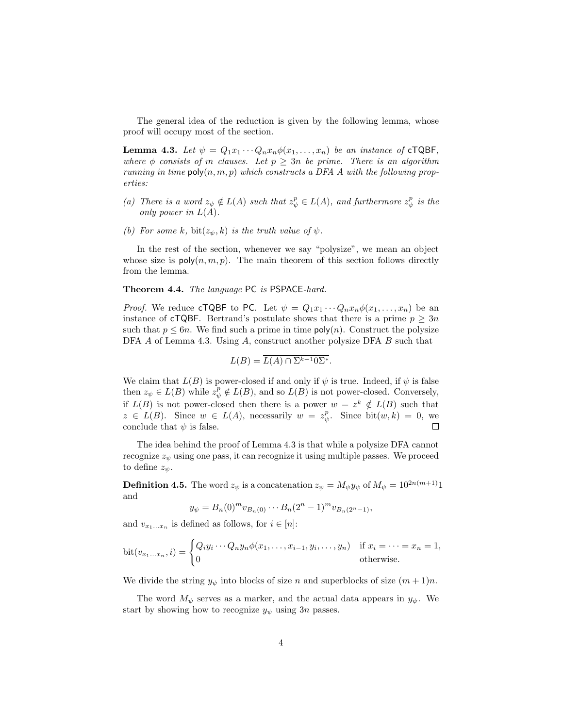The general idea of the reduction is given by the following lemma, whose proof will occupy most of the section.

**Lemma 4.3.** Let  $\psi = Q_1 x_1 \cdots Q_n x_n \phi(x_1, \ldots, x_n)$  be an instance of cTQBF, where  $\phi$  consists of m clauses. Let  $p \geq 3n$  be prime. There is an algorithm running in time  $\mathsf{poly}(n,m,p)$  which constructs a DFA A with the following properties:

- (a) There is a word  $z_{\psi} \notin L(A)$  such that  $z_{\psi}^p \in L(A)$ , and furthermore  $z_{\psi}^p$  is the only power in  $L(A)$ .
- (b) For some k, bit $(z_{\psi}, k)$  is the truth value of  $\psi$ .

In the rest of the section, whenever we say "polysize", we mean an object whose size is  $poly(n, m, p)$ . The main theorem of this section follows directly from the lemma.

Theorem 4.4. The language PC is PSPACE-hard.

*Proof.* We reduce cTQBF to PC. Let  $\psi = Q_1 x_1 \cdots Q_n x_n \phi(x_1, \ldots, x_n)$  be an instance of **cTQBF**. Bertrand's postulate shows that there is a prime  $p \geq 3n$ such that  $p \leq 6n$ . We find such a prime in time  $\text{poly}(n)$ . Construct the polysize DFA A of Lemma 4.3. Using A, construct another polysize DFA B such that

$$
L(B) = \overline{L(A) \cap \Sigma^{k-1} 0 \Sigma^*}.
$$

We claim that  $L(B)$  is power-closed if and only if  $\psi$  is true. Indeed, if  $\psi$  is false then  $z_{\psi} \in L(B)$  while  $z_{\psi}^p \notin L(B)$ , and so  $L(B)$  is not power-closed. Conversely, if  $L(B)$  is not power-closed then there is a power  $w = z^k \notin L(B)$  such that  $z \in L(B)$ . Since  $w \in L(A)$ , necessarily  $w = z_{\psi}^p$ . Since  $bit(w, k) = 0$ , we conclude that  $\psi$  is false.  $\Box$ 

The idea behind the proof of Lemma 4.3 is that while a polysize DFA cannot recognize  $z_{\psi}$  using one pass, it can recognize it using multiple passes. We proceed to define  $z_{\psi}$ .

**Definition 4.5.** The word  $z_{\psi}$  is a concatenation  $z_{\psi} = M_{\psi} y_{\psi}$  of  $M_{\psi} = 10^{2n(m+1)}1$ and

$$
y_{\psi} = B_n(0)^m v_{B_n(0)} \cdots B_n(2^n - 1)^m v_{B_n(2^n - 1)},
$$

and  $v_{x_1...x_n}$  is defined as follows, for  $i \in [n]$ :

$$
\text{bit}(v_{x_1\ldots x_n}, i) = \begin{cases} Q_i y_i \cdots Q_n y_n \phi(x_1, \ldots, x_{i-1}, y_i, \ldots, y_n) & \text{if } x_i = \cdots = x_n = 1, \\ 0 & \text{otherwise.} \end{cases}
$$

We divide the string  $y_{\psi}$  into blocks of size n and superblocks of size  $(m + 1)n$ .

The word  $M_{\psi}$  serves as a marker, and the actual data appears in  $y_{\psi}$ . We start by showing how to recognize  $y_{\psi}$  using 3n passes.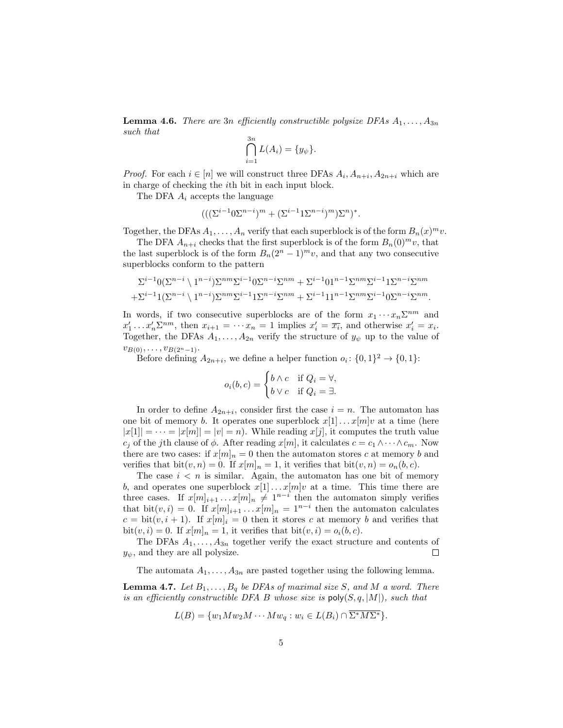**Lemma 4.6.** There are 3n efficiently constructible polysize DFAs  $A_1, \ldots, A_{3n}$ such that  $2<sub>m</sub>$ 

$$
\bigcap_{i=1}^{3n} L(A_i) = \{y_{\psi}\}.
$$

*Proof.* For each  $i \in [n]$  we will construct three DFAs  $A_i$ ,  $A_{n+i}$ ,  $A_{2n+i}$  which are in charge of checking the ith bit in each input block.

The DFA  $A_i$  accepts the language

$$
(((\Sigma^{i-1}0\Sigma^{n-i})^m + (\Sigma^{i-1}1\Sigma^{n-i})^m)\Sigma^n)^*.
$$

Together, the DFAs  $A_1, \ldots, A_n$  verify that each superblock is of the form  $B_n(x)^m v$ .

The DFA  $A_{n+i}$  checks that the first superblock is of the form  $B_n(0)^m v$ , that the last superblock is of the form  $B_n(2^n-1)^m v$ , and that any two consecutive superblocks conform to the pattern

$$
\Sigma^{i-1} 0 (\Sigma^{n-i} \setminus 1^{n-i}) \Sigma^{nm} \Sigma^{i-1} 0 \Sigma^{n-i} \Sigma^{nm} + \Sigma^{i-1} 0 1^{n-1} \Sigma^{nm} \Sigma^{i-1} 1 \Sigma^{n-i} \Sigma^{nm} + \Sigma^{i-1} 1 (\Sigma^{n-i} \setminus 1^{n-i}) \Sigma^{nm} \Sigma^{i-1} 1 \Sigma^{n-i} \Sigma^{nm} + \Sigma^{i-1} 1 1^{n-1} \Sigma^{nm} \Sigma^{i-1} 0 \Sigma^{n-i} \Sigma^{nm}.
$$

In words, if two consecutive superblocks are of the form  $x_1 \cdots x_n \Sigma^{nm}$  and  $x'_1 \ldots x'_n \Sigma^{nm}$ , then  $x_{i+1} = \cdots x_n = 1$  implies  $x'_i = \overline{x_i}$ , and otherwise  $x'_i = x_i$ . Together, the DFAs  $A_1, \ldots, A_{2n}$  verify the structure of  $y_{\psi}$  up to the value of  $v_{B(0)}, \ldots, v_{B(2^n-1)}$ .

Before defining  $A_{2n+i}$ , we define a helper function  $o_i: \{0,1\}^2 \to \{0,1\}$ :

$$
o_i(b, c) = \begin{cases} b \wedge c & \text{if } Q_i = \forall, \\ b \vee c & \text{if } Q_i = \exists. \end{cases}
$$

In order to define  $A_{2n+i}$ , consider first the case  $i = n$ . The automaton has one bit of memory b. It operates one superblock  $x[1] \dots x[m]v$  at a time (here  $|x[1]| = \cdots = |x[m]| = |v| = n$ . While reading  $x[j]$ , it computes the truth value  $c_j$  of the jth clause of  $\phi$ . After reading  $x[m]$ , it calculates  $c = c_1 \wedge \cdots \wedge c_m$ . Now there are two cases: if  $x[m]_n = 0$  then the automaton stores c at memory b and verifies that bit $(v, n) = 0$ . If  $x[m]_n = 1$ , it verifies that bit $(v, n) = o_n(b, c)$ .

The case  $i < n$  is similar. Again, the automaton has one bit of memory b, and operates one superblock  $x[1] \dots x[m]v$  at a time. This time there are three cases. If  $x[m]_{i+1} \ldots x[m]_n \neq 1^{n-i}$  then the automaton simply verifies that bit $(v, i) = 0$ . If  $x[m]_{i+1} \dots x[m]_n = 1^{n-i}$  then the automaton calculates  $c = \text{bit}(v, i + 1)$ . If  $x[m]_i = 0$  then it stores c at memory b and verifies that bit $(v, i) = 0$ . If  $x[m]_n = 1$ , it verifies that bit $(v, i) = o_i(b, c)$ .

The DFAs  $A_1, \ldots, A_{3n}$  together verify the exact structure and contents of  $y_{\psi}$ , and they are all polysize.  $\Box$ 

The automata  $A_1, \ldots, A_{3n}$  are pasted together using the following lemma.

**Lemma 4.7.** Let  $B_1, \ldots, B_q$  be DFAs of maximal size S, and M a word. There is an efficiently constructible DFA B whose size is  $\text{poly}(S, q, |M|)$ , such that

$$
L(B) = \{w_1 M w_2 M \cdots M w_q : w_i \in L(B_i) \cap \overline{\Sigma^* M \Sigma^*}\}.
$$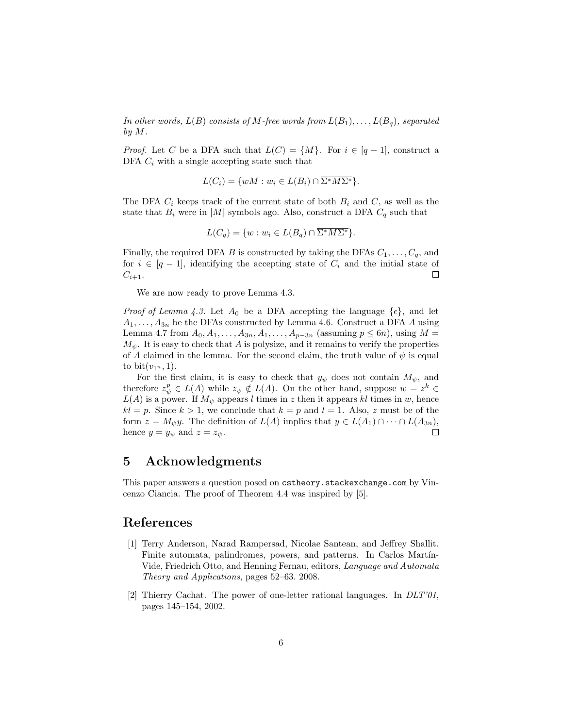In other words,  $L(B)$  consists of M-free words from  $L(B_1), \ldots, L(B_q)$ , separated by M.

*Proof.* Let C be a DFA such that  $L(C) = \{M\}$ . For  $i \in [q-1]$ , construct a DFA  $C_i$  with a single accepting state such that

$$
L(C_i) = \{ wM : w_i \in L(B_i) \cap \overline{\Sigma^* M \Sigma^*} \}.
$$

The DFA  $C_i$  keeps track of the current state of both  $B_i$  and  $C$ , as well as the state that  $B_i$  were in |M| symbols ago. Also, construct a DFA  $C_q$  such that

$$
L(C_q) = \{ w : w_i \in L(B_q) \cap \overline{\Sigma^* M \Sigma^*} \}.
$$

Finally, the required DFA B is constructed by taking the DFAs  $C_1, \ldots, C_q$ , and for  $i \in [q-1]$ , identifying the accepting state of  $C_i$  and the initial state of  $C_{i+1}$ .  $\Box$ 

We are now ready to prove Lemma 4.3.

*Proof of Lemma 4.3.* Let  $A_0$  be a DFA accepting the language  $\{\epsilon\}$ , and let  $A_1, \ldots, A_{3n}$  be the DFAs constructed by Lemma 4.6. Construct a DFA A using Lemma 4.7 from  $A_0, A_1, ..., A_{3n}, A_1, ..., A_{p-3n}$  (assuming  $p \le 6n$ ), using  $M =$  $M_{\psi}$ . It is easy to check that A is polysize, and it remains to verify the properties of A claimed in the lemma. For the second claim, the truth value of  $\psi$  is equal to bit $(v_{1^n}, 1)$ .

For the first claim, it is easy to check that  $y_{\psi}$  does not contain  $M_{\psi}$ , and therefore  $z_{\psi}^p \in L(A)$  while  $z_{\psi} \notin L(A)$ . On the other hand, suppose  $w = z^k \in$  $L(A)$  is a power. If  $M_{\psi}$  appears l times in z then it appears kl times in w, hence  $kl = p$ . Since  $k > 1$ , we conclude that  $k = p$  and  $l = 1$ . Also, z must be of the form  $z = M_{\psi}y$ . The definition of  $L(A)$  implies that  $y \in L(A_1) \cap \cdots \cap L(A_{3n}),$ hence  $y = y_{\psi}$  and  $z = z_{\psi}$ .  $\Box$ 

## 5 Acknowledgments

This paper answers a question posed on cstheory.stackexchange.com by Vincenzo Ciancia. The proof of Theorem 4.4 was inspired by [5].

#### References

- [1] Terry Anderson, Narad Rampersad, Nicolae Santean, and Jeffrey Shallit. Finite automata, palindromes, powers, and patterns. In Carlos Martín-Vide, Friedrich Otto, and Henning Fernau, editors, Language and Automata Theory and Applications, pages 52–63. 2008.
- [2] Thierry Cachat. The power of one-letter rational languages. In DLT'01, pages 145–154, 2002.